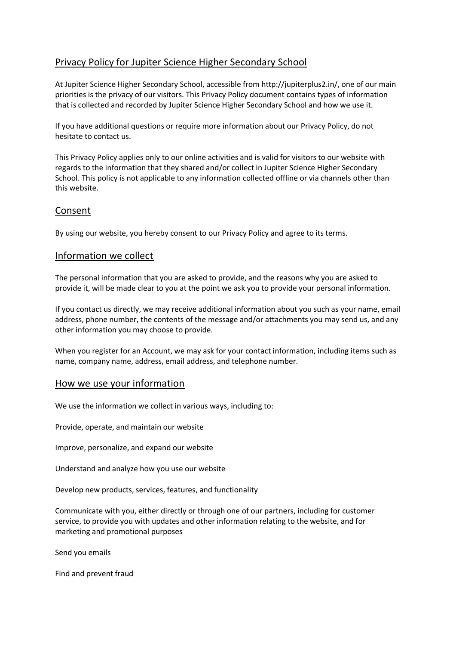# Privacy Policy for Jupiter Science Higher Secondary School

At Jupiter Science Higher Secondary School, accessible from http://jupiterplus2.in/, one of our main priorities is the privacy of our visitors. This Privacy Policy document contains types of information that is collected and recorded by Jupiter Science Higher Secondary School and how we use it.

If you have additional questions or require more information about our Privacy Policy, do not hesitate to contact us.

This Privacy Policy applies only to our online activities and is valid for visitors to our website with regards to the information that they shared and/or collect in Jupiter Science Higher Secondary School. This policy is not applicable to any information collected offline or via channels other than this website.

## Consent

By using our website, you hereby consent to our Privacy Policy and agree to its terms.

## Information we collect

The personal information that you are asked to provide, and the reasons why you are asked to provide it, will be made clear to you at the point we ask you to provide your personal information.

If you contact us directly, we may receive additional information about you such as your name, email address, phone number, the contents of the message and/or attachments you may send us, and any other information you may choose to provide.

When you register for an Account, we may ask for your contact information, including items such as name, company name, address, email address, and telephone number.

### How we use your information

We use the information we collect in various ways, including to:

Provide, operate, and maintain our website

Improve, personalize, and expand our website

Understand and analyze how you use our website

Develop new products, services, features, and functionality

Communicate with you, either directly or through one of our partners, including for customer service, to provide you with updates and other information relating to the website, and for marketing and promotional purposes

Send you emails

Find and prevent fraud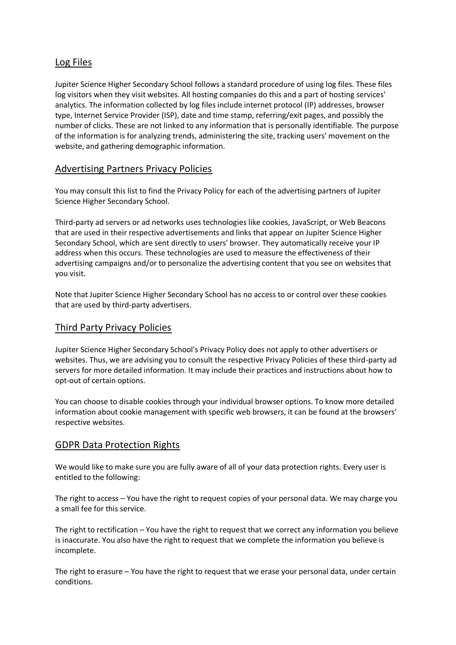## Log Files

Jupiter Science Higher Secondary School follows a standard procedure of using log files. These files log visitors when they visit websites. All hosting companies do this and a part of hosting services' analytics. The information collected by log files include internet protocol (IP) addresses, browser type, Internet Service Provider (ISP), date and time stamp, referring/exit pages, and possibly the number of clicks. These are not linked to any information that is personally identifiable. The purpose of the information is for analyzing trends, administering the site, tracking users' movement on the website, and gathering demographic information.

## Advertising Partners Privacy Policies

You may consult this list to find the Privacy Policy for each of the advertising partners of Jupiter Science Higher Secondary School.

Third-party ad servers or ad networks uses technologies like cookies, JavaScript, or Web Beacons that are used in their respective advertisements and links that appear on Jupiter Science Higher Secondary School, which are sent directly to users' browser. They automatically receive your IP address when this occurs. These technologies are used to measure the effectiveness of their advertising campaigns and/or to personalize the advertising content that you see on websites that you visit.

Note that Jupiter Science Higher Secondary School has no access to or control over these cookies that are used by third-party advertisers.

### Third Party Privacy Policies

Jupiter Science Higher Secondary School's Privacy Policy does not apply to other advertisers or websites. Thus, we are advising you to consult the respective Privacy Policies of these third-party ad servers for more detailed information. It may include their practices and instructions about how to opt-out of certain options.

You can choose to disable cookies through your individual browser options. To know more detailed information about cookie management with specific web browsers, it can be found at the browsers' respective websites.

### GDPR Data Protection Rights

We would like to make sure you are fully aware of all of your data protection rights. Every user is entitled to the following:

The right to access – You have the right to request copies of your personal data. We may charge you a small fee for this service.

The right to rectification – You have the right to request that we correct any information you believe is inaccurate. You also have the right to request that we complete the information you believe is incomplete.

The right to erasure – You have the right to request that we erase your personal data, under certain conditions.